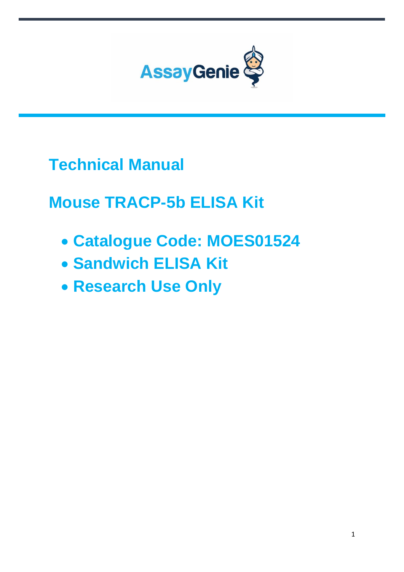

**Technical Manual**

**Mouse TRACP-5b ELISA Kit**

- **Catalogue Code: MOES01524**
- **Sandwich ELISA Kit**
- **Research Use Only**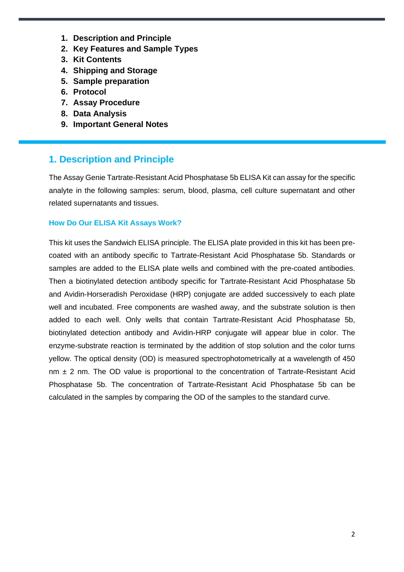- **1. Description and Principle**
- **2. Key Features and Sample Types**
- **3. Kit Contents**
- **4. Shipping and Storage**
- **5. Sample preparation**
- **6. Protocol**
- **7. Assay Procedure**
- **8. Data Analysis**
- **9. Important General Notes**

### **1. Description and Principle**

The Assay Genie Tartrate-Resistant Acid Phosphatase 5b ELISA Kit can assay for the specific analyte in the following samples: serum, blood, plasma, cell culture supernatant and other related supernatants and tissues.

#### **How Do Our ELISA Kit Assays Work?**

This kit uses the Sandwich ELISA principle. The ELISA plate provided in this kit has been precoated with an antibody specific to Tartrate-Resistant Acid Phosphatase 5b. Standards or samples are added to the ELISA plate wells and combined with the pre-coated antibodies. Then a biotinylated detection antibody specific for Tartrate-Resistant Acid Phosphatase 5b and Avidin-Horseradish Peroxidase (HRP) conjugate are added successively to each plate well and incubated. Free components are washed away, and the substrate solution is then added to each well. Only wells that contain Tartrate-Resistant Acid Phosphatase 5b, biotinylated detection antibody and Avidin-HRP conjugate will appear blue in color. The enzyme-substrate reaction is terminated by the addition of stop solution and the color turns yellow. The optical density (OD) is measured spectrophotometrically at a wavelength of 450  $nm \pm 2$  nm. The OD value is proportional to the concentration of Tartrate-Resistant Acid Phosphatase 5b. The concentration of Tartrate-Resistant Acid Phosphatase 5b can be calculated in the samples by comparing the OD of the samples to the standard curve.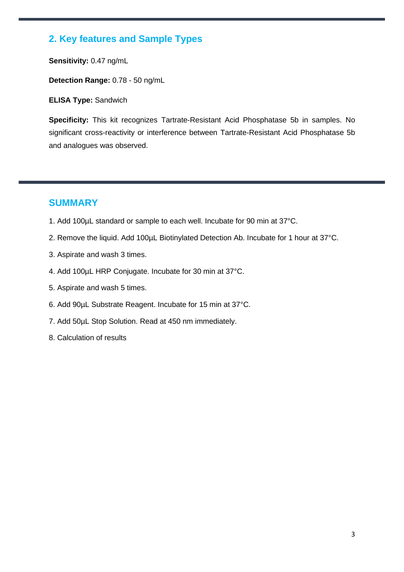# **2. Key features and Sample Types**

**Sensitivity:** 0.47 ng/mL

**Detection Range:** 0.78 - 50 ng/mL

**ELISA Type:** Sandwich

**Specificity:** This kit recognizes Tartrate-Resistant Acid Phosphatase 5b in samples. No significant cross-reactivity or interference between Tartrate-Resistant Acid Phosphatase 5b and analogues was observed.

### **SUMMARY**

- 1. Add 100µL standard or sample to each well. Incubate for 90 min at 37°C.
- 2. Remove the liquid. Add 100µL Biotinylated Detection Ab. Incubate for 1 hour at 37°C.
- 3. Aspirate and wash 3 times.
- 4. Add 100µL HRP Conjugate. Incubate for 30 min at 37°C.
- 5. Aspirate and wash 5 times.
- 6. Add 90µL Substrate Reagent. Incubate for 15 min at 37°C.
- 7. Add 50µL Stop Solution. Read at 450 nm immediately.
- 8. Calculation of results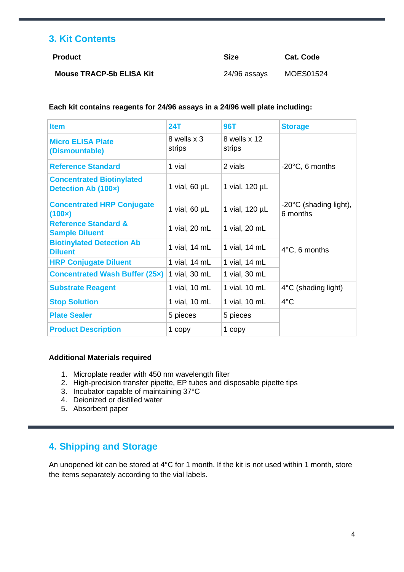# **3. Kit Contents**

| Product                         | Size         | <b>Cat. Code</b> |
|---------------------------------|--------------|------------------|
| <b>Mouse TRACP-5b ELISA Kit</b> | 24/96 assays | MOES01524        |

#### **Each kit contains reagents for 24/96 assays in a 24/96 well plate including:**

| <b>Item</b>                                              | <b>24T</b>            | <b>96T</b>             | <b>Storage</b>                               |
|----------------------------------------------------------|-----------------------|------------------------|----------------------------------------------|
| <b>Micro ELISA Plate</b><br>(Dismountable)               | 8 wells x 3<br>strips | 8 wells x 12<br>strips |                                              |
| <b>Reference Standard</b>                                | 1 vial                | 2 vials                | $-20^{\circ}$ C, 6 months                    |
| <b>Concentrated Biotinylated</b><br>Detection Ab (100x)  | 1 vial, $60 \mu L$    | 1 vial, 120 µL         |                                              |
| <b>Concentrated HRP Conjugate</b><br>(100x)              | 1 vial, $60 \mu L$    | 1 vial, 120 µL         | $-20^{\circ}$ C (shading light),<br>6 months |
| <b>Reference Standard &amp;</b><br><b>Sample Diluent</b> | 1 vial, 20 mL         | 1 vial, 20 mL          |                                              |
| <b>Biotinylated Detection Ab</b><br><b>Diluent</b>       | 1 vial, 14 mL         | 1 vial, 14 mL          | $4^{\circ}$ C, 6 months                      |
| <b>HRP Conjugate Diluent</b>                             | 1 vial, 14 mL         | 1 vial, 14 mL          |                                              |
| <b>Concentrated Wash Buffer (25x)</b>                    | 1 vial, 30 mL         | 1 vial, 30 mL          |                                              |
| <b>Substrate Reagent</b>                                 | 1 vial, 10 mL         | 1 vial, 10 mL          | $4^{\circ}$ C (shading light)                |
| <b>Stop Solution</b>                                     | 1 vial, 10 mL         | 1 vial, 10 mL          | $4^{\circ}$ C                                |
| <b>Plate Sealer</b>                                      | 5 pieces              | 5 pieces               |                                              |
| <b>Product Description</b>                               | 1 copy                | 1 copy                 |                                              |

#### **Additional Materials required**

- 1. Microplate reader with 450 nm wavelength filter
- 2. High-precision transfer pipette, EP tubes and disposable pipette tips
- 3. Incubator capable of maintaining 37°C
- 4. Deionized or distilled water
- 5. Absorbent paper

# **4. Shipping and Storage**

An unopened kit can be stored at 4°C for 1 month. If the kit is not used within 1 month, store the items separately according to the vial labels.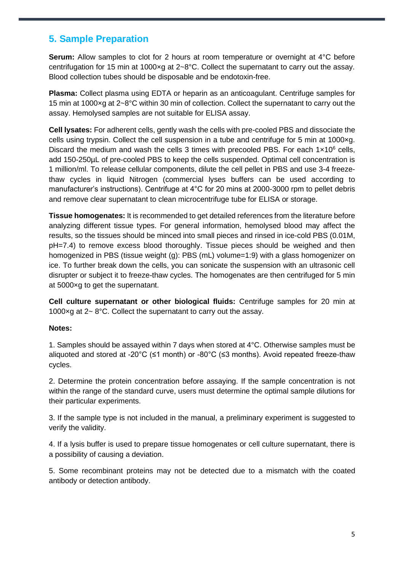## **5. Sample Preparation**

**Serum:** Allow samples to clot for 2 hours at room temperature or overnight at 4°C before centrifugation for 15 min at 1000×g at 2~8°C. Collect the supernatant to carry out the assay. Blood collection tubes should be disposable and be endotoxin-free.

**Plasma:** Collect plasma using EDTA or heparin as an anticoagulant. Centrifuge samples for 15 min at 1000×g at 2~8°C within 30 min of collection. Collect the supernatant to carry out the assay. Hemolysed samples are not suitable for ELISA assay.

**Cell lysates:** For adherent cells, gently wash the cells with pre-cooled PBS and dissociate the cells using trypsin. Collect the cell suspension in a tube and centrifuge for 5 min at 1000×g. Discard the medium and wash the cells 3 times with precooled PBS. For each  $1 \times 10^6$  cells, add 150-250µL of pre-cooled PBS to keep the cells suspended. Optimal cell concentration is 1 million/ml. To release cellular components, dilute the cell pellet in PBS and use 3-4 freezethaw cycles in liquid Nitrogen (commercial lyses buffers can be used according to manufacturer's instructions). Centrifuge at 4°C for 20 mins at 2000-3000 rpm to pellet debris and remove clear supernatant to clean microcentrifuge tube for ELISA or storage.

**Tissue homogenates:** It is recommended to get detailed references from the literature before analyzing different tissue types. For general information, hemolysed blood may affect the results, so the tissues should be minced into small pieces and rinsed in ice-cold PBS (0.01M, pH=7.4) to remove excess blood thoroughly. Tissue pieces should be weighed and then homogenized in PBS (tissue weight (g): PBS (mL) volume=1:9) with a glass homogenizer on ice. To further break down the cells, you can sonicate the suspension with an ultrasonic cell disrupter or subject it to freeze-thaw cycles. The homogenates are then centrifuged for 5 min at 5000×g to get the supernatant.

**Cell culture supernatant or other biological fluids:** Centrifuge samples for 20 min at 1000×g at 2~ 8°C. Collect the supernatant to carry out the assay.

#### **Notes:**

1. Samples should be assayed within 7 days when stored at 4°C. Otherwise samples must be aliquoted and stored at -20°C ( $\leq$ 1 month) or -80°C ( $\leq$ 3 months). Avoid repeated freeze-thaw cycles.

2. Determine the protein concentration before assaying. If the sample concentration is not within the range of the standard curve, users must determine the optimal sample dilutions for their particular experiments.

3. If the sample type is not included in the manual, a preliminary experiment is suggested to verify the validity.

4. If a lysis buffer is used to prepare tissue homogenates or cell culture supernatant, there is a possibility of causing a deviation.

5. Some recombinant proteins may not be detected due to a mismatch with the coated antibody or detection antibody.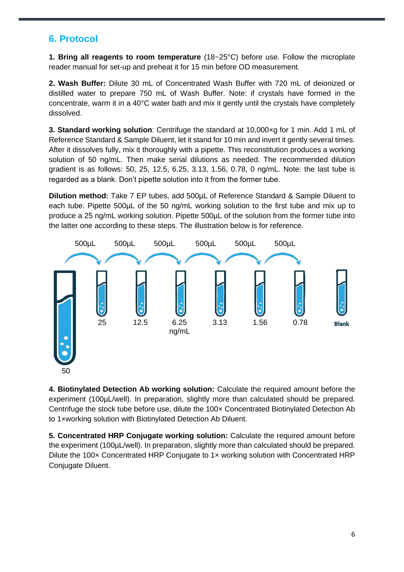# **6. Protocol**

**1. Bring all reagents to room temperature** (18~25°C) before use. Follow the microplate reader manual for set-up and preheat it for 15 min before OD measurement.

**2. Wash Buffer:** Dilute 30 mL of Concentrated Wash Buffer with 720 mL of deionized or distilled water to prepare 750 mL of Wash Buffer. Note: if crystals have formed in the concentrate, warm it in a 40°C water bath and mix it gently until the crystals have completely dissolved.

**3. Standard working solution**: Centrifuge the standard at 10,000×g for 1 min. Add 1 mL of Reference Standard & Sample Diluent, let it stand for 10 min and invert it gently several times. After it dissolves fully, mix it thoroughly with a pipette. This reconstitution produces a working solution of 50 ng/mL. Then make serial dilutions as needed. The recommended dilution gradient is as follows: 50, 25, 12.5, 6.25, 3.13, 1.56, 0.78, 0 ng/mL. Note: the last tube is regarded as a blank. Don't pipette solution into it from the former tube.

**Dilution method:** Take 7 EP tubes, add 500µL of Reference Standard & Sample Diluent to each tube. Pipette 500µL of the 50 ng/mL working solution to the first tube and mix up to produce a 25 ng/mL working solution. Pipette 500µL of the solution from the former tube into the latter one according to these steps. The illustration below is for reference.



**4. Biotinylated Detection Ab working solution:** Calculate the required amount before the experiment (100µL/well). In preparation, slightly more than calculated should be prepared. Centrifuge the stock tube before use, dilute the 100× Concentrated Biotinylated Detection Ab to 1×working solution with Biotinylated Detection Ab Diluent.

**5. Concentrated HRP Conjugate working solution:** Calculate the required amount before the experiment (100µL/well). In preparation, slightly more than calculated should be prepared. Dilute the 100x Concentrated HRP Conjugate to 1x working solution with Concentrated HRP Conjugate Diluent.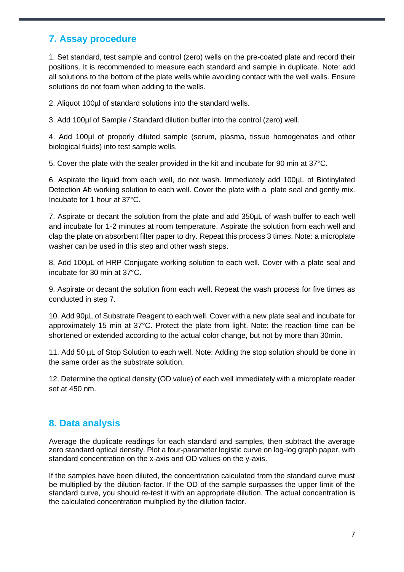# **7. Assay procedure**

1. Set standard, test sample and control (zero) wells on the pre-coated plate and record their positions. It is recommended to measure each standard and sample in duplicate. Note: add all solutions to the bottom of the plate wells while avoiding contact with the well walls. Ensure solutions do not foam when adding to the wells.

2. Aliquot 100µl of standard solutions into the standard wells.

3. Add 100µl of Sample / Standard dilution buffer into the control (zero) well.

4. Add 100µl of properly diluted sample (serum, plasma, tissue homogenates and other biological fluids) into test sample wells.

5. Cover the plate with the sealer provided in the kit and incubate for 90 min at 37°C.

6. Aspirate the liquid from each well, do not wash. Immediately add 100µL of Biotinylated Detection Ab working solution to each well. Cover the plate with a plate seal and gently mix. Incubate for 1 hour at 37°C.

7. Aspirate or decant the solution from the plate and add 350µL of wash buffer to each well and incubate for 1-2 minutes at room temperature. Aspirate the solution from each well and clap the plate on absorbent filter paper to dry. Repeat this process 3 times. Note: a microplate washer can be used in this step and other wash steps.

8. Add 100µL of HRP Conjugate working solution to each well. Cover with a plate seal and incubate for 30 min at 37°C.

9. Aspirate or decant the solution from each well. Repeat the wash process for five times as conducted in step 7.

10. Add 90µL of Substrate Reagent to each well. Cover with a new plate seal and incubate for approximately 15 min at 37°C. Protect the plate from light. Note: the reaction time can be shortened or extended according to the actual color change, but not by more than 30min.

11. Add 50 µL of Stop Solution to each well. Note: Adding the stop solution should be done in the same order as the substrate solution.

12. Determine the optical density (OD value) of each well immediately with a microplate reader set at 450 nm.

# **8. Data analysis**

Average the duplicate readings for each standard and samples, then subtract the average zero standard optical density. Plot a four-parameter logistic curve on log-log graph paper, with standard concentration on the x-axis and OD values on the y-axis.

If the samples have been diluted, the concentration calculated from the standard curve must be multiplied by the dilution factor. If the OD of the sample surpasses the upper limit of the standard curve, you should re-test it with an appropriate dilution. The actual concentration is the calculated concentration multiplied by the dilution factor.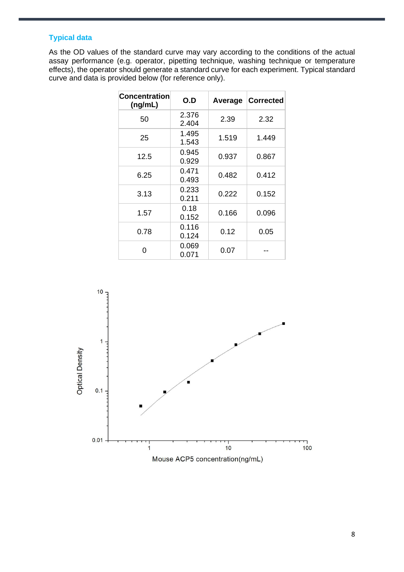### **Typical data**

As the OD values of the standard curve may vary according to the conditions of the actual assay performance (e.g. operator, pipetting technique, washing technique or temperature effects), the operator should generate a standard curve for each experiment. Typical standard curve and data is provided below (for reference only).

| Concentration<br>(ng/mL) | O.D            | Average | <b>Corrected</b> |
|--------------------------|----------------|---------|------------------|
| 50                       | 2.376<br>2.404 | 2.39    | 2.32             |
| 25                       | 1.495<br>1.543 | 1.519   | 1.449            |
| 12.5                     | 0.945<br>0.929 | 0.937   | 0.867            |
| 6.25                     | 0.471<br>0.493 | 0.482   | 0.412            |
| 3.13                     | 0.233<br>0.211 | 0.222   | 0.152            |
| 1.57                     | 0.18<br>0.152  | 0.166   | 0.096            |
| 0.78                     | 0.116<br>0.124 | 0.12    | 0.05             |
| ი                        | 0.069<br>0.071 | 0.07    |                  |

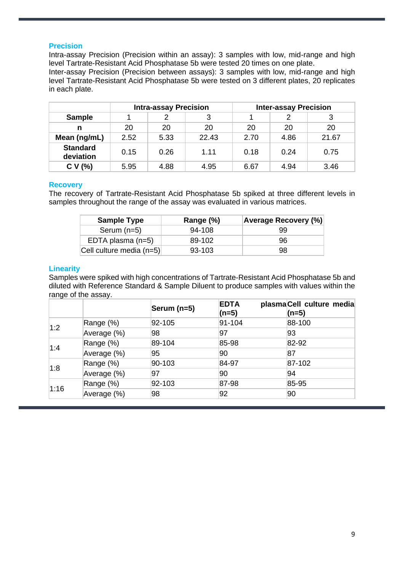#### **Precision**

Intra-assay Precision (Precision within an assay): 3 samples with low, mid-range and high level Tartrate-Resistant Acid Phosphatase 5b were tested 20 times on one plate.

Inter-assay Precision (Precision between assays): 3 samples with low, mid-range and high level Tartrate-Resistant Acid Phosphatase 5b were tested on 3 different plates, 20 replicates in each plate.

|                              | <b>Intra-assay Precision</b> |      |       | <b>Inter-assay Precision</b> |      |       |
|------------------------------|------------------------------|------|-------|------------------------------|------|-------|
| <b>Sample</b>                |                              |      |       |                              |      |       |
| n                            | 20                           | 20   | 20    | 20                           | 20   | 20    |
| Mean (ng/mL)                 | 2.52                         | 5.33 | 22.43 | 2.70                         | 4.86 | 21.67 |
| <b>Standard</b><br>deviation | 0.15                         | 0.26 | 1.11  | 0.18                         | 0.24 | 0.75  |
| CV(%)                        | 5.95                         | 4.88 | 4.95  | 6.67                         | 4.94 | 3.46  |

#### **Recovery**

The recovery of Tartrate-Resistant Acid Phosphatase 5b spiked at three different levels in samples throughout the range of the assay was evaluated in various matrices.

| <b>Sample Type</b>       | Range (%) | <b>Average Recovery (%)</b> |
|--------------------------|-----------|-----------------------------|
| Serum $(n=5)$            | 94-108    | 99                          |
| EDTA plasma $(n=5)$      | 89-102    | 96                          |
| Cell culture media (n=5) | 93-103    | 98                          |

#### **Linearity**

Samples were spiked with high concentrations of Tartrate-Resistant Acid Phosphatase 5b and diluted with Reference Standard & Sample Diluent to produce samples with values within the range of the assay.

|      |             | Serum (n=5) | <b>EDTA</b><br>$(n=5)$ | plasmaCell culture media<br>$(n=5)$ |
|------|-------------|-------------|------------------------|-------------------------------------|
|      | Range (%)   | 92-105      | $ 91 - 104 $           | 88-100                              |
| 1:2  | Average (%) | 98          | 97                     | 93                                  |
| 1:4  | Range (%)   | 89-104      | 85-98                  | 82-92                               |
|      | Average (%) | 95          | 90                     | 87                                  |
| 1:8  | Range (%)   | 90-103      | 84-97                  | 87-102                              |
|      | Average (%) | 97          | 90                     | 94                                  |
| 1:16 | Range (%)   | 92-103      | 87-98                  | 85-95                               |
|      | Average (%) | 98          | 92                     | 90                                  |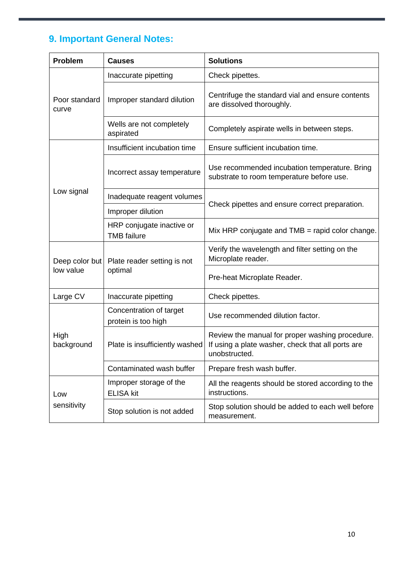# **9. Important General Notes:**

| <b>Problem</b>              | <b>Causes</b>                                   | <b>Solutions</b>                                                                                                      |  |
|-----------------------------|-------------------------------------------------|-----------------------------------------------------------------------------------------------------------------------|--|
| Poor standard<br>curve      | Inaccurate pipetting                            | Check pipettes.                                                                                                       |  |
|                             | Improper standard dilution                      | Centrifuge the standard vial and ensure contents<br>are dissolved thoroughly.                                         |  |
|                             | Wells are not completely<br>aspirated           | Completely aspirate wells in between steps.                                                                           |  |
|                             | Insufficient incubation time                    | Ensure sufficient incubation time.                                                                                    |  |
| Low signal                  | Incorrect assay temperature                     | Use recommended incubation temperature. Bring<br>substrate to room temperature before use.                            |  |
|                             | Inadequate reagent volumes                      |                                                                                                                       |  |
|                             | Improper dilution                               | Check pipettes and ensure correct preparation.                                                                        |  |
|                             | HRP conjugate inactive or<br><b>TMB</b> failure | Mix HRP conjugate and $TMB$ = rapid color change.                                                                     |  |
| Deep color but<br>low value | Plate reader setting is not                     | Verify the wavelength and filter setting on the<br>Microplate reader.                                                 |  |
|                             | optimal                                         | Pre-heat Microplate Reader.                                                                                           |  |
| Large CV                    | Inaccurate pipetting                            | Check pipettes.                                                                                                       |  |
| High<br>background          | Concentration of target<br>protein is too high  | Use recommended dilution factor.                                                                                      |  |
|                             | Plate is insufficiently washed                  | Review the manual for proper washing procedure.<br>If using a plate washer, check that all ports are<br>unobstructed. |  |
|                             | Contaminated wash buffer                        | Prepare fresh wash buffer.                                                                                            |  |
| Low<br>sensitivity          | Improper storage of the<br><b>ELISA kit</b>     | All the reagents should be stored according to the<br>instructions.                                                   |  |
|                             | Stop solution is not added                      | Stop solution should be added to each well before<br>measurement.                                                     |  |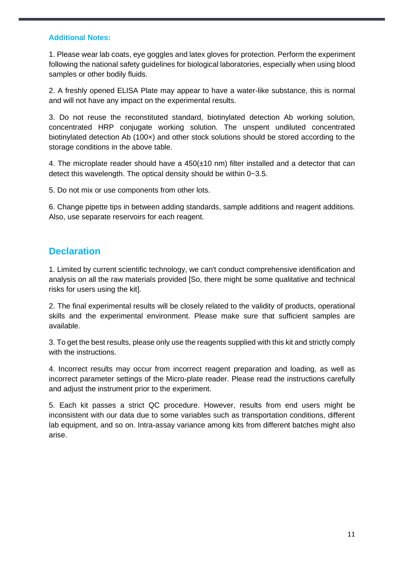#### **Additional Notes:**

1. Please wear lab coats, eye goggles and latex gloves for protection. Perform the experiment following the national safety guidelines for biological laboratories, especially when using blood samples or other bodily fluids.

2. A freshly opened ELISA Plate may appear to have a water-like substance, this is normal and will not have any impact on the experimental results.

3. Do not reuse the reconstituted standard, biotinylated detection Ab working solution, concentrated HRP conjugate working solution. The unspent undiluted concentrated biotinylated detection Ab (100×) and other stock solutions should be stored according to the storage conditions in the above table.

4. The microplate reader should have a  $450(\pm 10 \text{ nm})$  filter installed and a detector that can detect this wavelength. The optical density should be within 0~3.5.

5. Do not mix or use components from other lots.

6. Change pipette tips in between adding standards, sample additions and reagent additions. Also, use separate reservoirs for each reagent.

### **Declaration**

1. Limited by current scientific technology, we can't conduct comprehensive identification and analysis on all the raw materials provided [So, there might be some qualitative and technical risks for users using the kit].

2. The final experimental results will be closely related to the validity of products, operational skills and the experimental environment. Please make sure that sufficient samples are available.

3. To get the best results, please only use the reagents supplied with this kit and strictly comply with the instructions.

4. Incorrect results may occur from incorrect reagent preparation and loading, as well as incorrect parameter settings of the Micro-plate reader. Please read the instructions carefully and adjust the instrument prior to the experiment.

5. Each kit passes a strict QC procedure. However, results from end users might be inconsistent with our data due to some variables such as transportation conditions, different lab equipment, and so on. Intra-assay variance among kits from different batches might also arise.